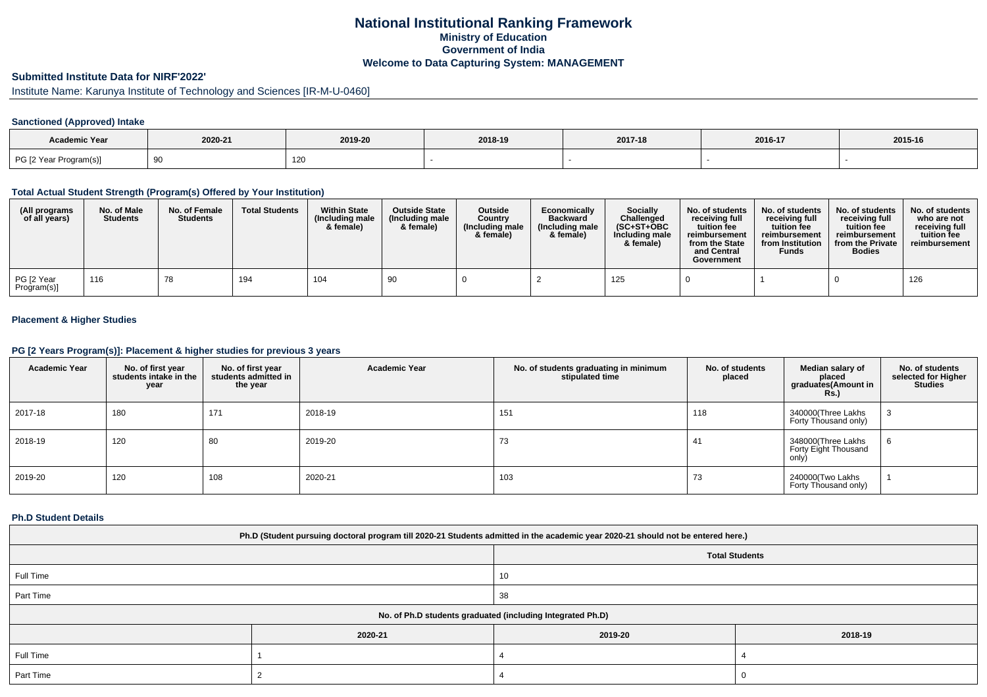## **National Institutional Ranking FrameworkMinistry of Education Government of IndiaWelcome to Data Capturing System: MANAGEMENT**

# **Submitted Institute Data for NIRF'2022'**

Institute Name: Karunya Institute of Technology and Sciences [IR-M-U-0460]

### **Sanctioned (Approved) Intake**

| Academic Year          | 2020-21<br>2019-20 |     | 2018-19 | 2017-18 | 2016-17 | 2015-16 |
|------------------------|--------------------|-----|---------|---------|---------|---------|
| PG [2 Year Program(s)] |                    | 120 |         |         |         |         |

#### **Total Actual Student Strength (Program(s) Offered by Your Institution)**

| (All programs<br>of all years) | No. of Male<br><b>Students</b> | No. of Female<br><b>Students</b> | <b>Total Students</b> | <b>Within State</b><br>(Including male<br>& female) | <b>Outside State</b><br>(Including male<br>& female) | Outside<br>Country<br>(Including male<br>& female) | Economically<br><b>Backward</b><br>(Including male<br>& female) | <b>Socially</b><br>Challenged<br>$(SC+ST+OBC$<br>Including male<br>& female) | No. of students<br>receivina full<br>tuition fee<br>reimbursement<br>from the State<br>and Central<br>Government | No. of students<br>receiving full<br>tuition fee<br>reimbursement<br>from Institution<br><b>Funds</b> | No. of students<br>receiving full<br>tuition fee<br>reimbursement<br>from the Private<br><b>Bodies</b> | No. of students  <br>who are not<br>receivina full<br>tuition fee<br>reimbursement |
|--------------------------------|--------------------------------|----------------------------------|-----------------------|-----------------------------------------------------|------------------------------------------------------|----------------------------------------------------|-----------------------------------------------------------------|------------------------------------------------------------------------------|------------------------------------------------------------------------------------------------------------------|-------------------------------------------------------------------------------------------------------|--------------------------------------------------------------------------------------------------------|------------------------------------------------------------------------------------|
| PG [2 Year<br>Program(s)]      | 116                            | 78                               | 194                   | 104                                                 | 90                                                   |                                                    |                                                                 | 125                                                                          |                                                                                                                  |                                                                                                       |                                                                                                        | 126                                                                                |

### **Placement & Higher Studies**

#### **PG [2 Years Program(s)]: Placement & higher studies for previous 3 years**

| <b>Academic Year</b> | No. of first year<br>students intake in the<br>year | No. of first year<br>students admitted in<br>the year | <b>Academic Year</b> | No. of students graduating in minimum<br>stipulated time | No. of students<br>placed | Median salary of<br>placed<br>graduates(Amount in<br><b>Rs.)</b> | No. of students<br>selected for Higher<br><b>Studies</b> |
|----------------------|-----------------------------------------------------|-------------------------------------------------------|----------------------|----------------------------------------------------------|---------------------------|------------------------------------------------------------------|----------------------------------------------------------|
| 2017-18              | 180                                                 | 171                                                   | 2018-19              | 151                                                      | 118                       | 340000(Three Lakhs<br>Forty Thousand only)                       |                                                          |
| 2018-19              | 120                                                 | 80                                                    | 2019-20              | 73                                                       | 41                        | 348000(Three Lakhs<br>Forty Eight Thousand<br>only)              | 6                                                        |
| 2019-20              | 120                                                 | 108                                                   | 2020-21              | 103                                                      | 73                        | 240000(Two Lakhs<br>Forty Thousand only)                         |                                                          |

#### **Ph.D Student Details**

| Ph.D (Student pursuing doctoral program till 2020-21 Students admitted in the academic year 2020-21 should not be entered here.) |         |                                                            |         |  |  |  |  |
|----------------------------------------------------------------------------------------------------------------------------------|---------|------------------------------------------------------------|---------|--|--|--|--|
| <b>Total Students</b>                                                                                                            |         |                                                            |         |  |  |  |  |
| Full Time                                                                                                                        |         |                                                            |         |  |  |  |  |
| Part Time                                                                                                                        |         | 38                                                         |         |  |  |  |  |
|                                                                                                                                  |         | No. of Ph.D students graduated (including Integrated Ph.D) |         |  |  |  |  |
|                                                                                                                                  | 2020-21 | 2019-20                                                    | 2018-19 |  |  |  |  |
| Full Time                                                                                                                        |         |                                                            |         |  |  |  |  |
| Part Time                                                                                                                        |         |                                                            |         |  |  |  |  |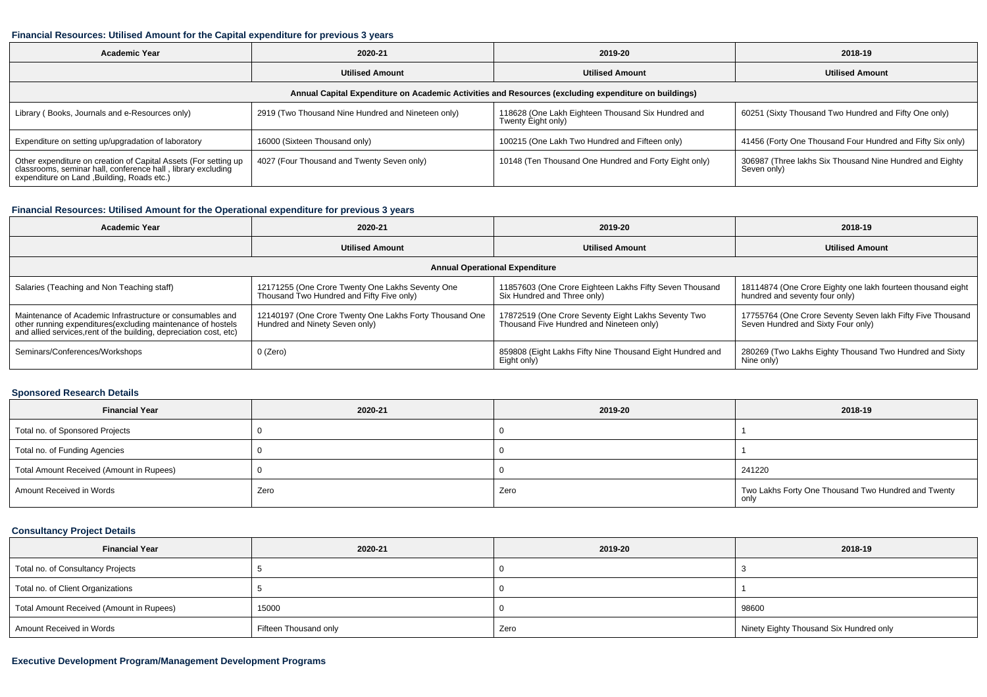#### **Financial Resources: Utilised Amount for the Capital expenditure for previous 3 years**

| Academic Year                                                                                                                                                                  | 2020-21                                            | 2019-20                                                                  | 2018-19                                                                 |  |  |  |  |  |  |
|--------------------------------------------------------------------------------------------------------------------------------------------------------------------------------|----------------------------------------------------|--------------------------------------------------------------------------|-------------------------------------------------------------------------|--|--|--|--|--|--|
|                                                                                                                                                                                | <b>Utilised Amount</b>                             | <b>Utilised Amount</b>                                                   | <b>Utilised Amount</b>                                                  |  |  |  |  |  |  |
| Annual Capital Expenditure on Academic Activities and Resources (excluding expenditure on buildings)                                                                           |                                                    |                                                                          |                                                                         |  |  |  |  |  |  |
| Library (Books, Journals and e-Resources only)                                                                                                                                 | 2919 (Two Thousand Nine Hundred and Nineteen only) | 118628 (One Lakh Eighteen Thousand Six Hundred and<br>Twenty Eight only) | 60251 (Sixty Thousand Two Hundred and Fifty One only)                   |  |  |  |  |  |  |
| Expenditure on setting up/upgradation of laboratory                                                                                                                            | 16000 (Sixteen Thousand only)                      | 100215 (One Lakh Two Hundred and Fifteen only)                           | 41456 (Forty One Thousand Four Hundred and Fifty Six only)              |  |  |  |  |  |  |
| Other expenditure on creation of Capital Assets (For setting up<br>classrooms, seminar hall, conference hall, library excluding<br>expenditure on Land , Building, Roads etc.) | 4027 (Four Thousand and Twenty Seven only)         | 10148 (Ten Thousand One Hundred and Forty Eight only)                    | 306987 (Three lakhs Six Thousand Nine Hundred and Eighty<br>Seven only) |  |  |  |  |  |  |

## **Financial Resources: Utilised Amount for the Operational expenditure for previous 3 years**

| <b>Academic Year</b>                                                                                                                                                                            | 2020-21                                                                                       | 2019-20                                                                                         | 2018-19                                                                                          |  |  |  |  |  |  |
|-------------------------------------------------------------------------------------------------------------------------------------------------------------------------------------------------|-----------------------------------------------------------------------------------------------|-------------------------------------------------------------------------------------------------|--------------------------------------------------------------------------------------------------|--|--|--|--|--|--|
|                                                                                                                                                                                                 | <b>Utilised Amount</b>                                                                        | <b>Utilised Amount</b>                                                                          | <b>Utilised Amount</b>                                                                           |  |  |  |  |  |  |
| <b>Annual Operational Expenditure</b>                                                                                                                                                           |                                                                                               |                                                                                                 |                                                                                                  |  |  |  |  |  |  |
| Salaries (Teaching and Non Teaching staff)                                                                                                                                                      | 12171255 (One Crore Twenty One Lakhs Seventy One<br>Thousand Two Hundred and Fifty Five only) | 11857603 (One Crore Eighteen Lakhs Fifty Seven Thousand<br>Six Hundred and Three only)          | 18114874 (One Crore Eighty one lakh fourteen thousand eight<br>hundred and seventy four only)    |  |  |  |  |  |  |
| Maintenance of Academic Infrastructure or consumables and<br>other running expenditures (excluding maintenance of hostels<br>and allied services, rent of the building, depreciation cost, etc) | 12140197 (One Crore Twenty One Lakhs Forty Thousand One<br>Hundred and Ninety Seven only)     | 17872519 (One Crore Seventy Eight Lakhs Seventy Two<br>Thousand Five Hundred and Nineteen only) | 17755764 (One Crore Seventy Seven lakh Fifty Five Thousand<br>Seven Hundred and Sixty Four only) |  |  |  |  |  |  |
| Seminars/Conferences/Workshops                                                                                                                                                                  | 0 (Zero)                                                                                      | 859808 (Eight Lakhs Fifty Nine Thousand Eight Hundred and<br>Eight only)                        | 280269 (Two Lakhs Eighty Thousand Two Hundred and Sixty<br>Nine only)                            |  |  |  |  |  |  |

#### **Sponsored Research Details**

| <b>Financial Year</b>                    | 2020-21 | 2019-20 | 2018-19                                                     |
|------------------------------------------|---------|---------|-------------------------------------------------------------|
| Total no. of Sponsored Projects          |         |         |                                                             |
| Total no. of Funding Agencies            |         |         |                                                             |
| Total Amount Received (Amount in Rupees) |         |         | 241220                                                      |
| Amount Received in Words                 | Zero    | Zero    | Two Lakhs Forty One Thousand Two Hundred and Twenty<br>only |

## **Consultancy Project Details**

| <b>Financial Year</b>                    | 2020-21               | 2019-20 | 2018-19                                 |
|------------------------------------------|-----------------------|---------|-----------------------------------------|
| Total no. of Consultancy Projects        |                       |         |                                         |
| Total no. of Client Organizations        |                       |         |                                         |
| Total Amount Received (Amount in Rupees) | 15000                 |         | 98600                                   |
| Amount Received in Words                 | Fifteen Thousand only | Zero    | Ninety Eighty Thousand Six Hundred only |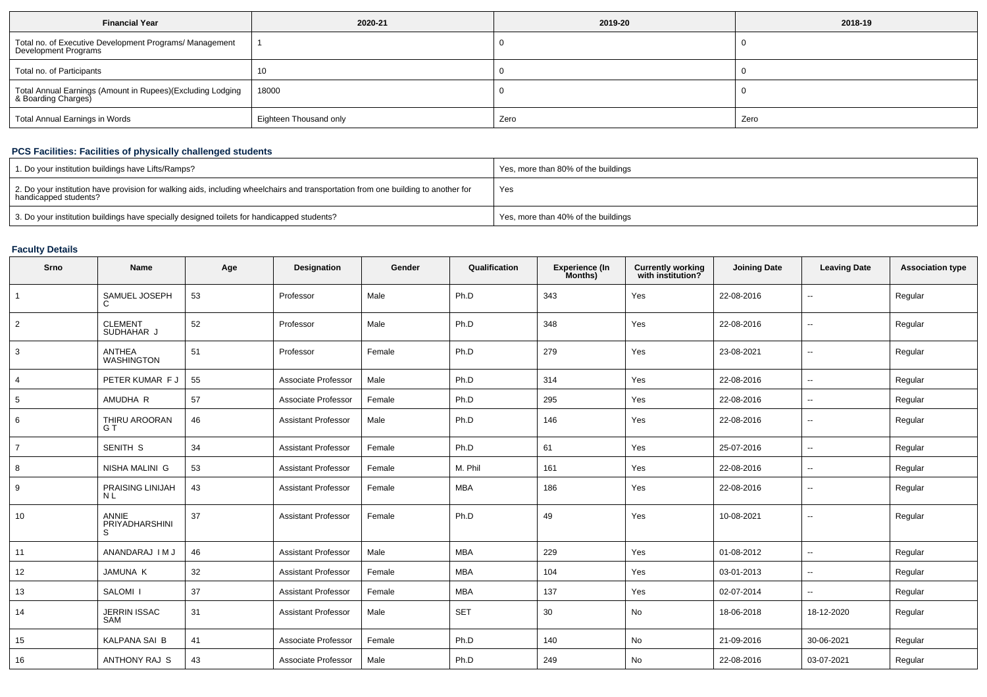| <b>Financial Year</b>                                                             | 2020-21                | 2019-20 | 2018-19 |
|-----------------------------------------------------------------------------------|------------------------|---------|---------|
| Total no. of Executive Development Programs/ Management<br>Development Programs   |                        |         |         |
| Total no. of Participants                                                         | 10                     |         |         |
| Total Annual Earnings (Amount in Rupees)(Excluding Lodging<br>& Boarding Charges) | 18000                  |         |         |
| Total Annual Earnings in Words                                                    | Eighteen Thousand only | Zero    | Zero    |

## **PCS Facilities: Facilities of physically challenged students**

| 1. Do your institution buildings have Lifts/Ramps?                                                                                                         | Yes, more than 80% of the buildings |
|------------------------------------------------------------------------------------------------------------------------------------------------------------|-------------------------------------|
| 2. Do your institution have provision for walking aids, including wheelchairs and transportation from one building to another for<br>handicapped students? | Yes                                 |
| 3. Do your institution buildings have specially designed toilets for handicapped students?                                                                 | Yes, more than 40% of the buildings |

## **Faculty Details**

| Srno            | <b>Name</b>                        | Age | Designation                | Gender | Qualification | <b>Experience (In</b><br>Months) | <b>Currently working</b><br>with institution? | <b>Joining Date</b> | <b>Leaving Date</b>      | <b>Association type</b> |
|-----------------|------------------------------------|-----|----------------------------|--------|---------------|----------------------------------|-----------------------------------------------|---------------------|--------------------------|-------------------------|
| $\overline{1}$  | SAMUEL JOSEPH                      | 53  | Professor                  | Male   | Ph.D          | 343                              | Yes                                           | 22-08-2016          | ۰.                       | Regular                 |
| $\overline{2}$  | <b>CLEMENT</b><br>SUDHAHAR J       | 52  | Professor                  | Male   | Ph.D          | 348                              | Yes                                           | 22-08-2016          | $\sim$                   | Regular                 |
| 3               | <b>ANTHEA</b><br><b>WASHINGTON</b> | 51  | Professor                  | Female | Ph.D          | 279                              | Yes                                           | 23-08-2021          | $\sim$                   | Regular                 |
| $\overline{4}$  | PETER KUMAR F J                    | 55  | Associate Professor        | Male   | Ph.D          | 314                              | Yes                                           | 22-08-2016          | $\overline{\phantom{a}}$ | Regular                 |
| $5\phantom{.0}$ | AMUDHA R                           | 57  | Associate Professor        | Female | Ph.D          | 295                              | Yes                                           | 22-08-2016          | $\overline{\phantom{a}}$ | Regular                 |
| 6               | THIRU AROORAN<br>G T               | 46  | <b>Assistant Professor</b> | Male   | Ph.D          | 146                              | Yes                                           | 22-08-2016          | $\overline{\phantom{a}}$ | Regular                 |
| $\overline{7}$  | SENITH S                           | 34  | <b>Assistant Professor</b> | Female | Ph.D          | 61                               | Yes                                           | 25-07-2016          | $\overline{\phantom{a}}$ | Regular                 |
| 8               | NISHA MALINI G                     | 53  | <b>Assistant Professor</b> | Female | M. Phil       | 161                              | Yes                                           | 22-08-2016          | ۰.                       | Regular                 |
| 9               | PRAISING LINIJAH<br><b>NL</b>      | 43  | <b>Assistant Professor</b> | Female | <b>MBA</b>    | 186                              | Yes                                           | 22-08-2016          | ۰.                       | Regular                 |
| 10              | ANNIE<br>PRIYADHARSHINI<br>S       | 37  | <b>Assistant Professor</b> | Female | Ph.D          | 49                               | Yes                                           | 10-08-2021          | $\sim$                   | Regular                 |
| 11              | ANANDARAJ I M J                    | 46  | <b>Assistant Professor</b> | Male   | <b>MBA</b>    | 229                              | Yes                                           | 01-08-2012          | $\sim$                   | Regular                 |
| 12              | <b>JAMUNA K</b>                    | 32  | <b>Assistant Professor</b> | Female | <b>MBA</b>    | 104                              | Yes                                           | 03-01-2013          | $\overline{\phantom{a}}$ | Regular                 |
| 13              | SALOMI <sub>I</sub>                | 37  | <b>Assistant Professor</b> | Female | <b>MBA</b>    | 137                              | Yes                                           | 02-07-2014          | --                       | Regular                 |
| 14              | <b>JERRIN ISSAC</b><br>SAM         | 31  | <b>Assistant Professor</b> | Male   | <b>SET</b>    | 30                               | No                                            | 18-06-2018          | 18-12-2020               | Regular                 |
| 15              | <b>KALPANA SAI B</b>               | 41  | Associate Professor        | Female | Ph.D          | 140                              | No                                            | 21-09-2016          | 30-06-2021               | Regular                 |
| 16              | ANTHONY RAJ S                      | 43  | Associate Professor        | Male   | Ph.D          | 249                              | No                                            | 22-08-2016          | 03-07-2021               | Regular                 |